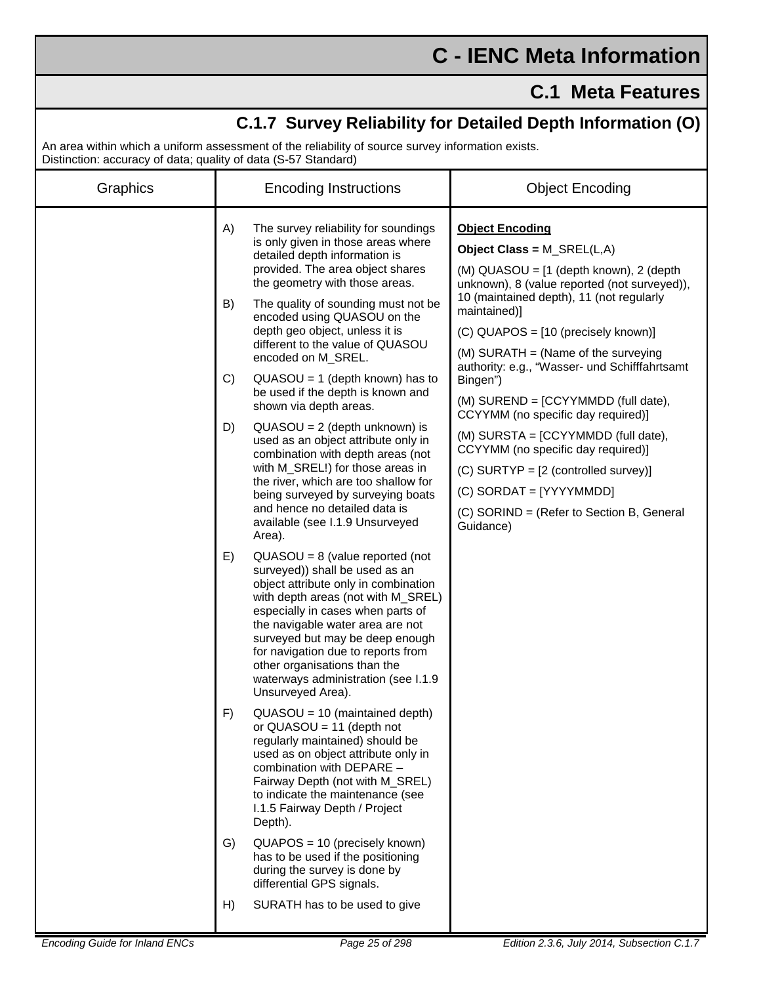## **C - IENC Meta Information**

## **C.1 Meta Features**

| C.1.7 Survey Reliability for Detailed Depth Information (O)<br>An area within which a uniform assessment of the reliability of source survey information exists. |                                                                                                                                                                                                                                                                                                                                                                                                       |                                                                                                                                                                                                             |  |  |
|------------------------------------------------------------------------------------------------------------------------------------------------------------------|-------------------------------------------------------------------------------------------------------------------------------------------------------------------------------------------------------------------------------------------------------------------------------------------------------------------------------------------------------------------------------------------------------|-------------------------------------------------------------------------------------------------------------------------------------------------------------------------------------------------------------|--|--|
| Distinction: accuracy of data; quality of data (S-57 Standard)                                                                                                   |                                                                                                                                                                                                                                                                                                                                                                                                       |                                                                                                                                                                                                             |  |  |
| Graphics                                                                                                                                                         | <b>Encoding Instructions</b>                                                                                                                                                                                                                                                                                                                                                                          | <b>Object Encoding</b>                                                                                                                                                                                      |  |  |
|                                                                                                                                                                  | A)<br>The survey reliability for soundings<br>is only given in those areas where<br>detailed depth information is<br>provided. The area object shares<br>the geometry with those areas.<br>The quality of sounding must not be<br>B)                                                                                                                                                                  | <b>Object Encoding</b><br>Object Class = M_SREL(L,A)<br>(M) QUASOU = [1 (depth known), 2 (depth<br>unknown), 8 (value reported (not surveyed)),<br>10 (maintained depth), 11 (not regularly<br>maintained)] |  |  |
|                                                                                                                                                                  | encoded using QUASOU on the<br>depth geo object, unless it is<br>different to the value of QUASOU<br>encoded on M_SREL.<br>C)<br>$QUASOU = 1$ (depth known) has to                                                                                                                                                                                                                                    | (C) QUAPOS = [10 (precisely known)]<br>$(M)$ SURATH = (Name of the surveying<br>authority: e.g., "Wasser- und Schifffahrtsamt<br>Bingen")                                                                   |  |  |
|                                                                                                                                                                  | be used if the depth is known and<br>shown via depth areas.                                                                                                                                                                                                                                                                                                                                           | (M) SUREND = [CCYYMMDD (full date),<br>CCYYMM (no specific day required)]                                                                                                                                   |  |  |
|                                                                                                                                                                  | D)<br>$QUASOU = 2$ (depth unknown) is<br>used as an object attribute only in<br>combination with depth areas (not<br>with M_SREL!) for those areas in<br>the river, which are too shallow for<br>being surveyed by surveying boats<br>and hence no detailed data is<br>available (see I.1.9 Unsurveyed<br>Area).                                                                                      | (M) SURSTA = [CCYYMMDD (full date),<br>CCYYMM (no specific day required)]<br>$(C)$ SURTYP = $[2$ (controlled survey)]<br>(C) SORDAT = [YYYYMMDD]<br>(C) SORIND = (Refer to Section B, General<br>Guidance)  |  |  |
|                                                                                                                                                                  | E)<br>$QUASOU = 8$ (value reported (not<br>surveyed)) shall be used as an<br>object attribute only in combination<br>with depth areas (not with M_SREL)<br>especially in cases when parts of<br>the navigable water area are not<br>surveyed but may be deep enough<br>for navigation due to reports from<br>other organisations than the<br>waterways administration (see I.1.9<br>Unsurveyed Area). |                                                                                                                                                                                                             |  |  |
|                                                                                                                                                                  | F)<br>$QUASOU = 10$ (maintained depth)<br>or $QUASOU = 11$ (depth not<br>regularly maintained) should be<br>used as on object attribute only in<br>combination with DEPARE -<br>Fairway Depth (not with M_SREL)<br>to indicate the maintenance (see<br>I.1.5 Fairway Depth / Project<br>Depth).                                                                                                       |                                                                                                                                                                                                             |  |  |
|                                                                                                                                                                  | $QUAPOS = 10$ (precisely known)<br>G)<br>has to be used if the positioning<br>during the survey is done by<br>differential GPS signals.                                                                                                                                                                                                                                                               |                                                                                                                                                                                                             |  |  |
|                                                                                                                                                                  | SURATH has to be used to give<br>H)                                                                                                                                                                                                                                                                                                                                                                   |                                                                                                                                                                                                             |  |  |